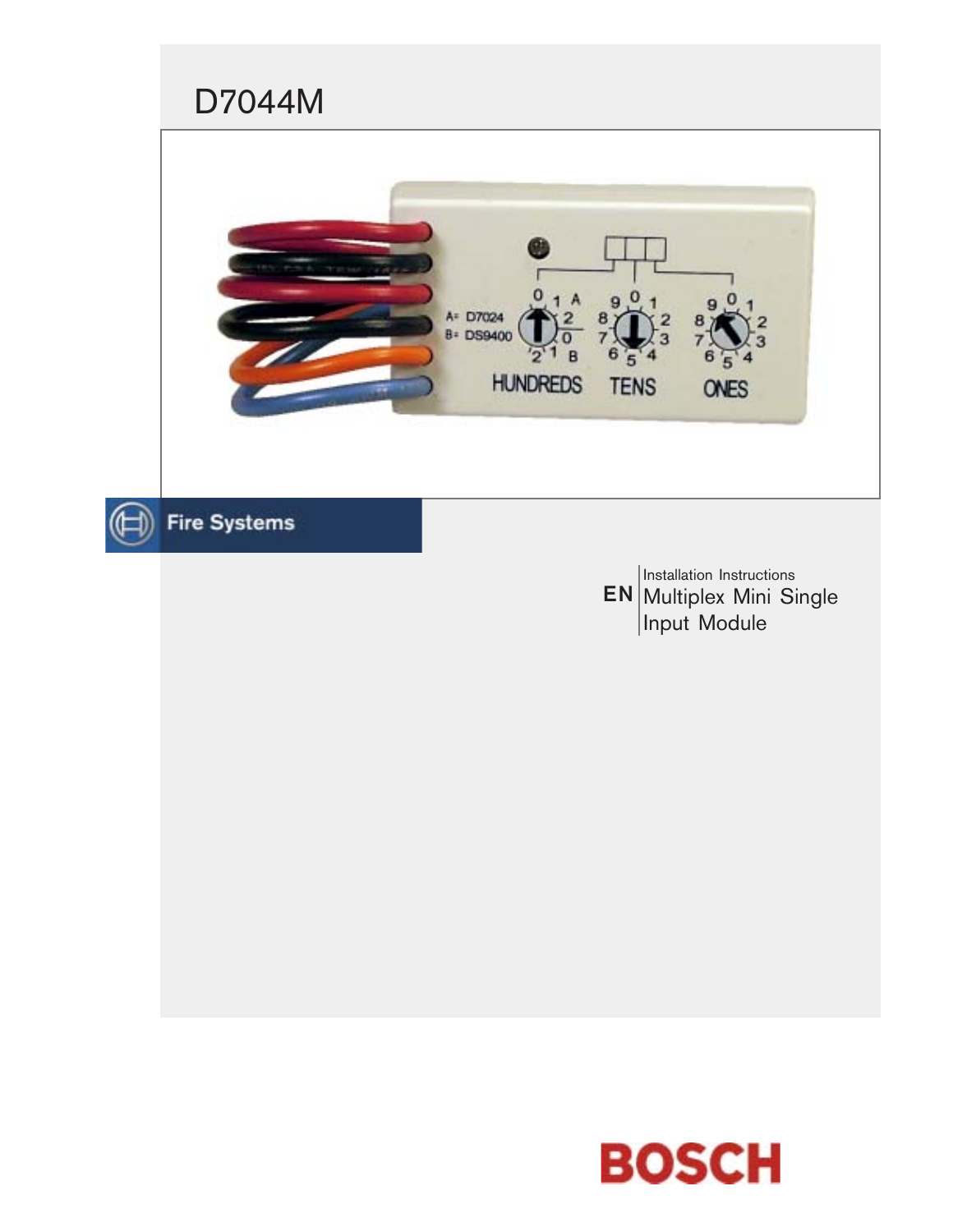

EN Multiplex Mini Single Installation Instructions Input Module

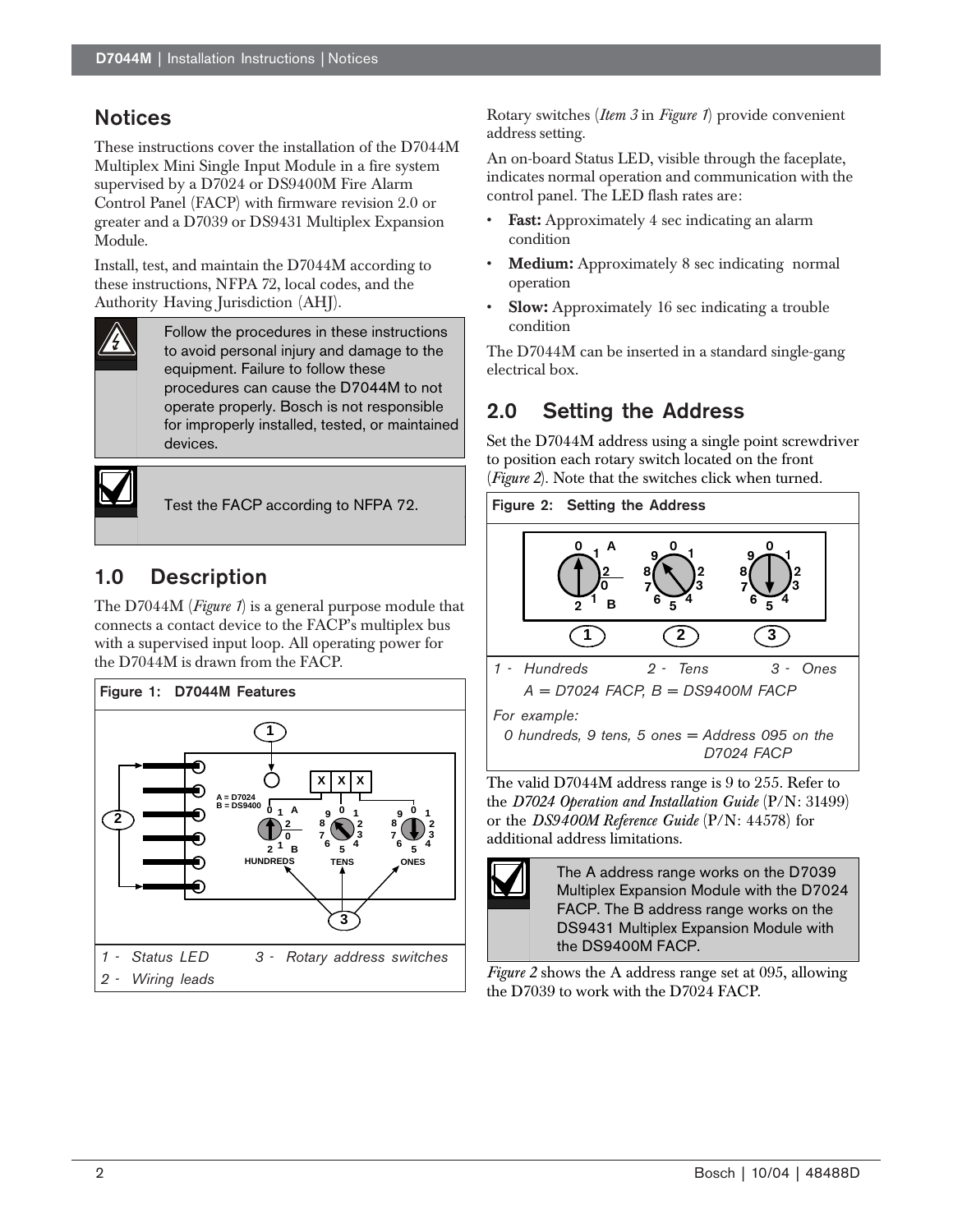### **Notices**

These instructions cover the installation of the D7044M Multiplex Mini Single Input Module in a fire system supervised by a D7024 or DS9400M Fire Alarm Control Panel (FACP) with firmware revision 2.0 or greater and a D7039 or DS9431 Multiplex Expansion Module.

Install, test, and maintain the D7044M according to these instructions, NFPA 72, local codes, and the Authority Having Jurisdiction (AHJ).



Follow the procedures in these instructions to avoid personal injury and damage to the equipment. Failure to follow these procedures can cause the D7044M to not operate properly. Bosch is not responsible for improperly installed, tested, or maintained devices.



Test the FACP according to NFPA 72.

## 1.0 Description

The D7044M (*Figure 1*) is a general purpose module that connects a contact device to the FACP's multiplex bus with a supervised input loop. All operating power for the D7044M is drawn from the FACP.



Rotary switches (*Item 3* in *Figure 1*) provide convenient address setting.

An on-board Status LED, visible through the faceplate, indicates normal operation and communication with the control panel. The LED flash rates are:

- **Fast:** Approximately 4 sec indicating an alarm condition
- Medium: Approximately 8 sec indicating normal operation
- **Slow:** Approximately 16 sec indicating a trouble condition

The D7044M can be inserted in a standard single-gang electrical box.

# 2.0 Setting the Address

Set the D7044M address using a single point screwdriver to position each rotary switch located on the front (*Figure 2*). Note that the switches click when turned.



The valid D7044M address range is 9 to 255. Refer to the *D7024 Operation and Installation Guide* (P/N: 31499) or the *DS9400M Reference Guide* (P/N: 44578) for additional address limitations.



The A address range works on the D7039 Multiplex Expansion Module with the D7024 FACP. The B address range works on the DS9431 Multiplex Expansion Module with the DS9400M FACP.

*Figure 2* shows the A address range set at 095, allowing the D7039 to work with the D7024 FACP.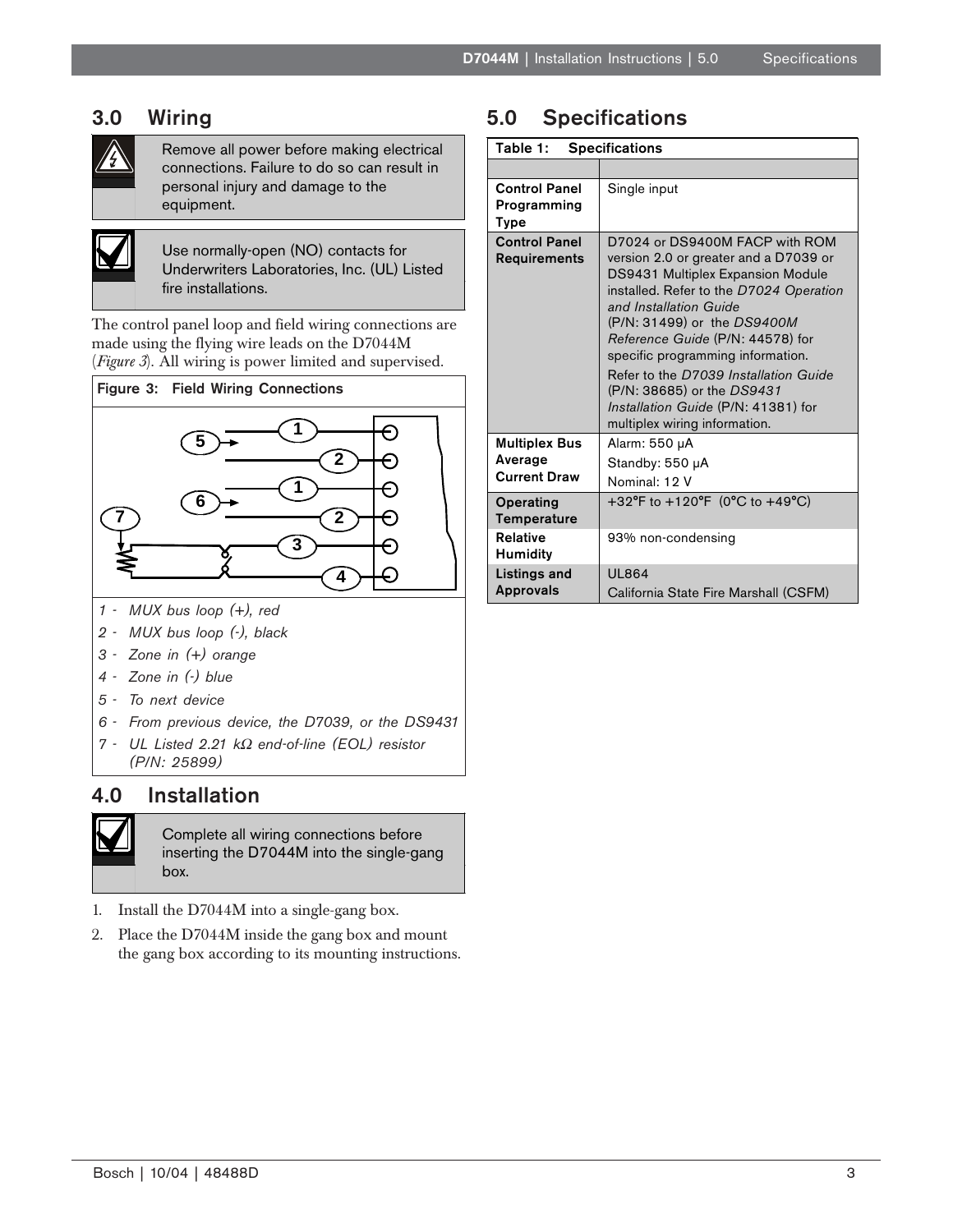#### 3.0 Wiring



Remove all power before making electrical connections. Failure to do so can result in personal injury and damage to the equipment.



Use normally-open (NO) contacts for Underwriters Laboratories, Inc. (UL) Listed fire installations.

The control panel loop and field wiring connections are made using the flying wire leads on the D7044M (*Figure 3*). All wiring is power limited and supervised.





- *1 MUX bus loop (+), red*
- *2 MUX bus loop (-), black*
- *3 Zone in (+) orange*
- *4 Zone in (-) blue*
- *5 To next device*
- *6 From previous device, the D7039, or the DS9431*
- *7 UL Listed 2.21 k*Ω *end-of-line (EOL) resistor (P/N: 25899)*

#### 4.0 Installation



Complete all wiring connections before inserting the D7044M into the single-gang box.

- 1. Install the D7044M into a single-gang box.
- 2. Place the D7044M inside the gang box and mount the gang box according to its mounting instructions.

## 5.0 Specifications

| Table 1:<br><b>Specifications</b>                      |                                                                                                                                                                                                                                                                                                                                                                                                                                          |
|--------------------------------------------------------|------------------------------------------------------------------------------------------------------------------------------------------------------------------------------------------------------------------------------------------------------------------------------------------------------------------------------------------------------------------------------------------------------------------------------------------|
|                                                        |                                                                                                                                                                                                                                                                                                                                                                                                                                          |
| <b>Control Panel</b><br>Programming<br><b>Type</b>     | Single input                                                                                                                                                                                                                                                                                                                                                                                                                             |
| <b>Control Panel</b><br><b>Requirements</b>            | D7024 or DS9400M FACP with ROM<br>version 2.0 or greater and a D7039 or<br>DS9431 Multiplex Expansion Module<br>installed. Refer to the D7024 Operation<br>and Installation Guide<br>(P/N: 31499) or the DS9400M<br>Reference Guide (P/N: 44578) for<br>specific programming information.<br>Refer to the D7039 Installation Guide<br>(P/N: 38685) or the DS9431<br>Installation Guide (P/N: 41381) for<br>multiplex wiring information. |
| <b>Multiplex Bus</b><br>Average<br><b>Current Draw</b> | Alarm: 550 µA<br>Standby: 550 µA<br>Nominal: 12 V                                                                                                                                                                                                                                                                                                                                                                                        |
| Operating<br>Temperature                               | +32°F to +120°F (0°C to +49°C)                                                                                                                                                                                                                                                                                                                                                                                                           |
| <b>Relative</b><br>Humidity                            | 93% non-condensing                                                                                                                                                                                                                                                                                                                                                                                                                       |
| Listings and<br>Approvals                              | <b>UI864</b><br>California State Fire Marshall (CSFM)                                                                                                                                                                                                                                                                                                                                                                                    |